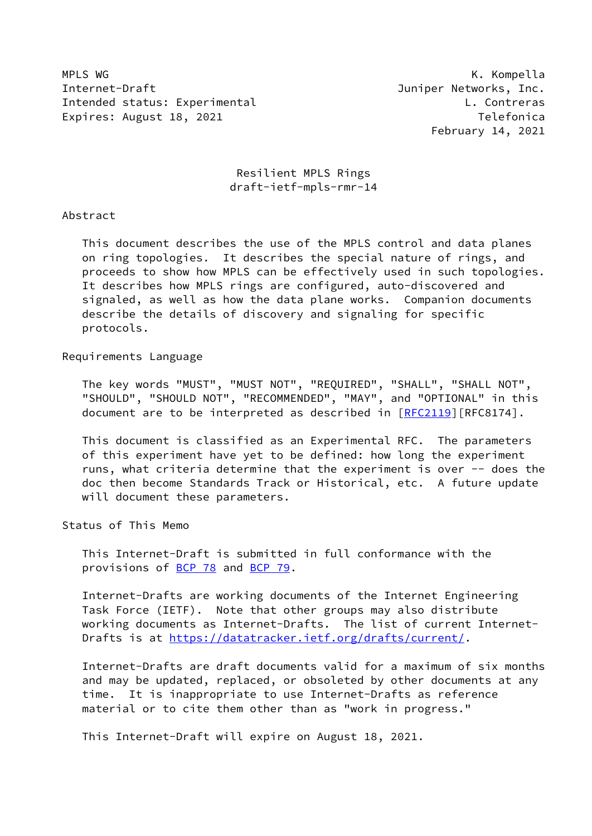MPLS WG **K. Kompella** Internet-Draft **Internet-Draft Juniper Networks**, Inc. Intended status: Experimental L. Contreras Expires: August 18, 2021 **Telefonica** 

February 14, 2021

 Resilient MPLS Rings draft-ietf-mpls-rmr-14

Abstract

 This document describes the use of the MPLS control and data planes on ring topologies. It describes the special nature of rings, and proceeds to show how MPLS can be effectively used in such topologies. It describes how MPLS rings are configured, auto-discovered and signaled, as well as how the data plane works. Companion documents describe the details of discovery and signaling for specific protocols.

Requirements Language

 The key words "MUST", "MUST NOT", "REQUIRED", "SHALL", "SHALL NOT", "SHOULD", "SHOULD NOT", "RECOMMENDED", "MAY", and "OPTIONAL" in this document are to be interpreted as described in [\[RFC2119](https://datatracker.ietf.org/doc/pdf/rfc2119)][RFC8174].

 This document is classified as an Experimental RFC. The parameters of this experiment have yet to be defined: how long the experiment runs, what criteria determine that the experiment is over -- does the doc then become Standards Track or Historical, etc. A future update will document these parameters.

Status of This Memo

 This Internet-Draft is submitted in full conformance with the provisions of [BCP 78](https://datatracker.ietf.org/doc/pdf/bcp78) and [BCP 79](https://datatracker.ietf.org/doc/pdf/bcp79).

 Internet-Drafts are working documents of the Internet Engineering Task Force (IETF). Note that other groups may also distribute working documents as Internet-Drafts. The list of current Internet- Drafts is at<https://datatracker.ietf.org/drafts/current/>.

 Internet-Drafts are draft documents valid for a maximum of six months and may be updated, replaced, or obsoleted by other documents at any time. It is inappropriate to use Internet-Drafts as reference material or to cite them other than as "work in progress."

This Internet-Draft will expire on August 18, 2021.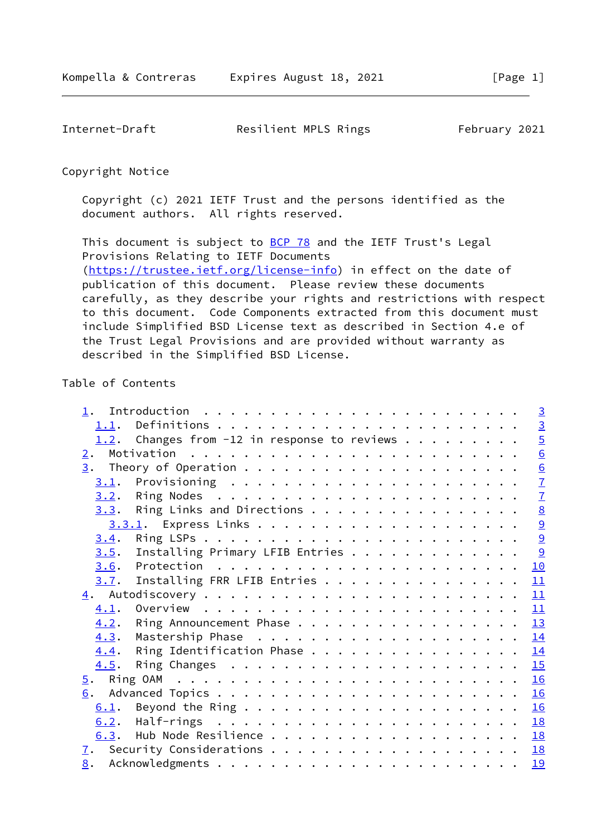Internet-Draft Resilient MPLS Rings February 2021

#### Copyright Notice

 Copyright (c) 2021 IETF Trust and the persons identified as the document authors. All rights reserved.

This document is subject to **[BCP 78](https://datatracker.ietf.org/doc/pdf/bcp78)** and the IETF Trust's Legal Provisions Relating to IETF Documents [\(https://trustee.ietf.org/license-info](https://trustee.ietf.org/license-info)) in effect on the date of publication of this document. Please review these documents carefully, as they describe your rights and restrictions with respect to this document. Code Components extracted from this document must include Simplified BSD License text as described in Section 4.e of the Trust Legal Provisions and are provided without warranty as described in the Simplified BSD License.

# Table of Contents

|      |                                                                      |  |  |  |  | $\overline{3}$ |
|------|----------------------------------------------------------------------|--|--|--|--|----------------|
|      | 1.2. Changes from $-12$ in response to reviews                       |  |  |  |  | $\frac{5}{2}$  |
| 2.   |                                                                      |  |  |  |  | 6              |
|      |                                                                      |  |  |  |  | 6              |
| 3.1. |                                                                      |  |  |  |  | $\overline{1}$ |
|      |                                                                      |  |  |  |  | $\overline{1}$ |
|      | <u>3.3</u> . Ring Links and Directions 8                             |  |  |  |  |                |
|      |                                                                      |  |  |  |  | $\overline{6}$ |
| 3.4. |                                                                      |  |  |  |  |                |
| 3.5. | Installing Primary LFIB Entries 9                                    |  |  |  |  |                |
| 3.6. | Protection $\ldots \ldots \ldots \ldots \ldots \ldots \ldots \ldots$ |  |  |  |  | 10             |
| 3.7. | Installing FRR LFIB Entries                                          |  |  |  |  | 11             |
|      |                                                                      |  |  |  |  | 11             |
|      |                                                                      |  |  |  |  | 11             |
| 4.2. | Ring Announcement Phase 13                                           |  |  |  |  |                |
| 4.3. |                                                                      |  |  |  |  |                |
| 4.4. | Ring Identification Phase 14                                         |  |  |  |  |                |
| 4.5. |                                                                      |  |  |  |  |                |
|      |                                                                      |  |  |  |  | 16             |
|      |                                                                      |  |  |  |  |                |
| 6.1. |                                                                      |  |  |  |  |                |
| 6.2. |                                                                      |  |  |  |  |                |
|      |                                                                      |  |  |  |  |                |
|      |                                                                      |  |  |  |  |                |
|      |                                                                      |  |  |  |  | 19             |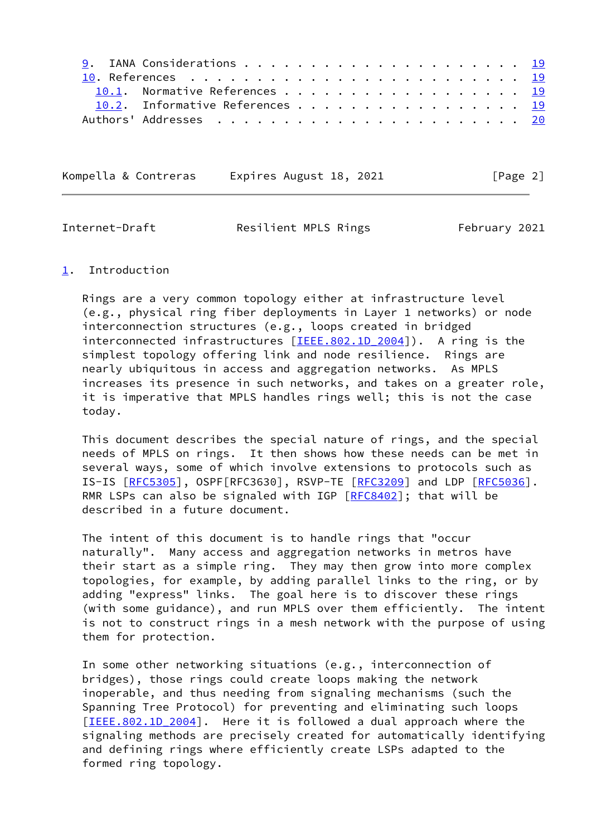| 10.1. Normative References 19   |  |  |  |  |  |  |  |  |  |
|---------------------------------|--|--|--|--|--|--|--|--|--|
| 10.2. Informative References 19 |  |  |  |  |  |  |  |  |  |
|                                 |  |  |  |  |  |  |  |  |  |

Kompella & Contreras Expires August 18, 2021 [Page 2]

<span id="page-2-1"></span>Internet-Draft **Resilient MPLS Rings** February 2021

## <span id="page-2-0"></span>[1](#page-2-0). Introduction

 Rings are a very common topology either at infrastructure level (e.g., physical ring fiber deployments in Layer 1 networks) or node interconnection structures (e.g., loops created in bridged interconnected infrastructures [IEEE.802.1D 2004]). A ring is the simplest topology offering link and node resilience. Rings are nearly ubiquitous in access and aggregation networks. As MPLS increases its presence in such networks, and takes on a greater role, it is imperative that MPLS handles rings well; this is not the case today.

 This document describes the special nature of rings, and the special needs of MPLS on rings. It then shows how these needs can be met in several ways, some of which involve extensions to protocols such as IS-IS [[RFC5305](https://datatracker.ietf.org/doc/pdf/rfc5305)], OSPF[RFC3630], RSVP-TE [\[RFC3209](https://datatracker.ietf.org/doc/pdf/rfc3209)] and LDP [[RFC5036](https://datatracker.ietf.org/doc/pdf/rfc5036)]. RMR LSPs can also be signaled with IGP [\[RFC8402](https://datatracker.ietf.org/doc/pdf/rfc8402)]; that will be described in a future document.

 The intent of this document is to handle rings that "occur naturally". Many access and aggregation networks in metros have their start as a simple ring. They may then grow into more complex topologies, for example, by adding parallel links to the ring, or by adding "express" links. The goal here is to discover these rings (with some guidance), and run MPLS over them efficiently. The intent is not to construct rings in a mesh network with the purpose of using them for protection.

 In some other networking situations (e.g., interconnection of bridges), those rings could create loops making the network inoperable, and thus needing from signaling mechanisms (such the Spanning Tree Protocol) for preventing and eliminating such loops [IEEE.802.1D 2004]. Here it is followed a dual approach where the signaling methods are precisely created for automatically identifying and defining rings where efficiently create LSPs adapted to the formed ring topology.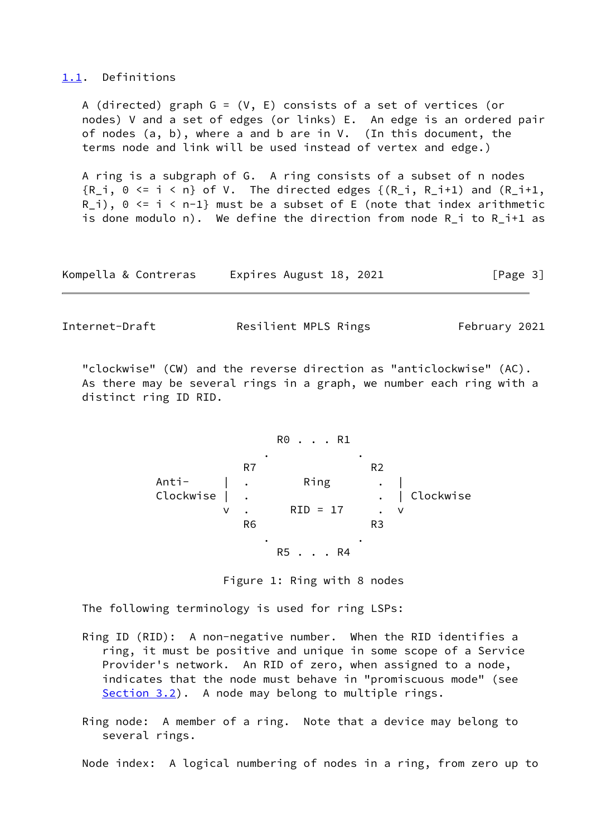### <span id="page-3-0"></span>[1.1](#page-3-0). Definitions

A (directed) graph  $G = (V, E)$  consists of a set of vertices (or nodes) V and a set of edges (or links) E. An edge is an ordered pair of nodes (a, b), where a and b are in V. (In this document, the terms node and link will be used instead of vertex and edge.)

 A ring is a subgraph of G. A ring consists of a subset of n nodes  ${R_i, 0 \leq i \leq n}$  of V. The directed edges  ${(R_i, R_i+1)}$  and  $(R_i+1, R_i+1)$  $R_i$ ),  $0 \le i \le n-1$  must be a subset of E (note that index arithmetic is done modulo n). We define the direction from node  $R_i$  to  $R_i$  +1 as

| Kompella & Contreras | Expires August 18, 2021 | [Page 3] |
|----------------------|-------------------------|----------|
|----------------------|-------------------------|----------|

Internet-Draft **Resilient MPLS Rings** February 2021

 "clockwise" (CW) and the reverse direction as "anticlockwise" (AC). As there may be several rings in a graph, we number each ring with a distinct ring ID RID.



Figure 1: Ring with 8 nodes

The following terminology is used for ring LSPs:

 Ring ID (RID): A non-negative number. When the RID identifies a ring, it must be positive and unique in some scope of a Service Provider's network. An RID of zero, when assigned to a node, indicates that the node must behave in "promiscuous mode" (see [Section 3.2](#page-7-1)). A node may belong to multiple rings.

 Ring node: A member of a ring. Note that a device may belong to several rings.

Node index: A logical numbering of nodes in a ring, from zero up to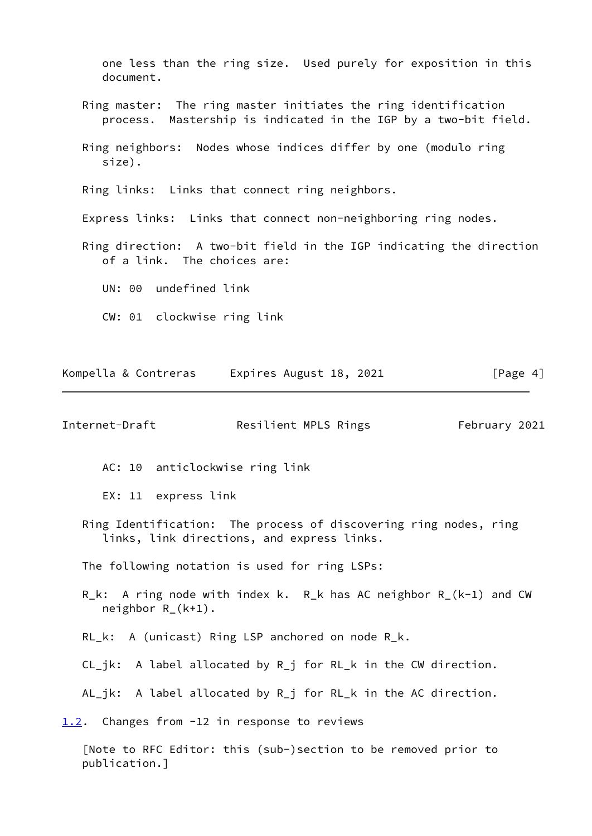one less than the ring size. Used purely for exposition in this document.

- Ring master: The ring master initiates the ring identification process. Mastership is indicated in the IGP by a two-bit field.
- Ring neighbors: Nodes whose indices differ by one (modulo ring size).

Ring links: Links that connect ring neighbors.

Express links: Links that connect non-neighboring ring nodes.

 Ring direction: A two-bit field in the IGP indicating the direction of a link. The choices are:

UN: 00 undefined link

CW: 01 clockwise ring link

| Kompella & Contreras | Expires August 18, 2021 | [Page 4] |
|----------------------|-------------------------|----------|
|----------------------|-------------------------|----------|

<span id="page-4-1"></span>Internet-Draft Resilient MPLS Rings February 2021

AC: 10 anticlockwise ring link

EX: 11 express link

 Ring Identification: The process of discovering ring nodes, ring links, link directions, and express links.

The following notation is used for ring LSPs:

- R\_k: A ring node with index k. R\_k has AC neighbor R\_(k-1) and CW neighbor R\_(k+1).
- RL\_k: A (unicast) Ring LSP anchored on node R\_k.
- CL\_jk: A label allocated by R\_j for RL\_k in the CW direction.
- AL\_jk: A label allocated by R\_j for RL\_k in the AC direction.

<span id="page-4-0"></span>[1.2](#page-4-0). Changes from -12 in response to reviews

 [Note to RFC Editor: this (sub-)section to be removed prior to publication.]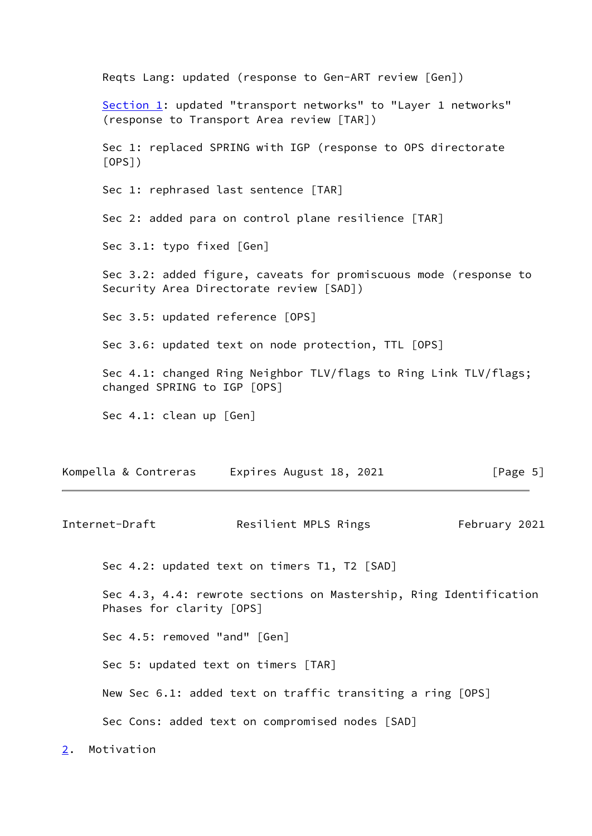Reqts Lang: updated (response to Gen-ART review [Gen]) [Section 1:](#page-2-0) updated "transport networks" to "Layer 1 networks" (response to Transport Area review [TAR]) Sec 1: replaced SPRING with IGP (response to OPS directorate [OPS]) Sec 1: rephrased last sentence [TAR] Sec 2: added para on control plane resilience [TAR] Sec 3.1: typo fixed [Gen] Sec 3.2: added figure, caveats for promiscuous mode (response to Security Area Directorate review [SAD]) Sec 3.5: updated reference [OPS] Sec 3.6: updated text on node protection, TTL [OPS] Sec 4.1: changed Ring Neighbor TLV/flags to Ring Link TLV/flags; changed SPRING to IGP [OPS] Sec 4.1: clean up [Gen]

Kompella & Contreras Expires August 18, 2021 [Page 5]

<span id="page-5-1"></span>Internet-Draft Resilient MPLS Rings February 2021 Sec 4.2: updated text on timers T1, T2 [SAD] Sec 4.3, 4.4: rewrote sections on Mastership, Ring Identification Phases for clarity [OPS] Sec 4.5: removed "and" [Gen] Sec 5: updated text on timers [TAR] New Sec 6.1: added text on traffic transiting a ring [OPS] Sec Cons: added text on compromised nodes [SAD]

<span id="page-5-0"></span>[2](#page-5-0). Motivation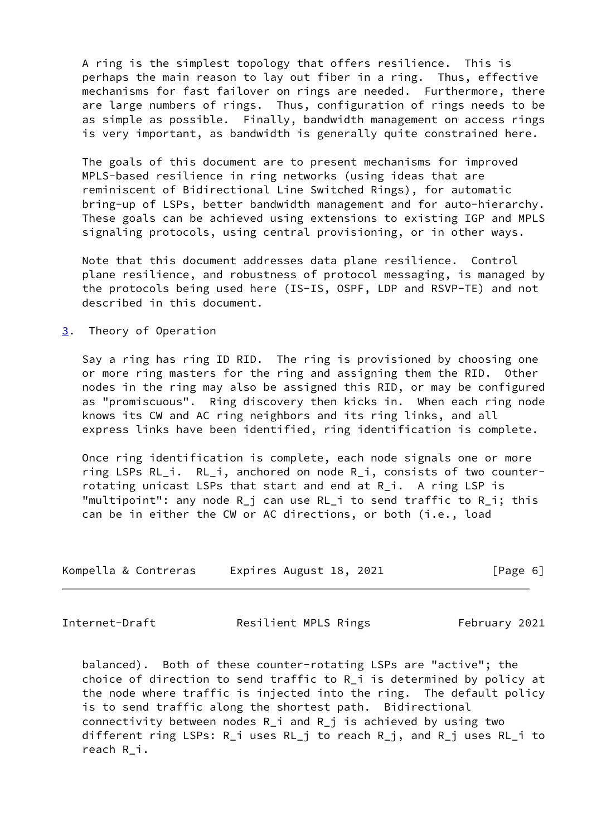A ring is the simplest topology that offers resilience. This is perhaps the main reason to lay out fiber in a ring. Thus, effective mechanisms for fast failover on rings are needed. Furthermore, there are large numbers of rings. Thus, configuration of rings needs to be as simple as possible. Finally, bandwidth management on access rings is very important, as bandwidth is generally quite constrained here.

 The goals of this document are to present mechanisms for improved MPLS-based resilience in ring networks (using ideas that are reminiscent of Bidirectional Line Switched Rings), for automatic bring-up of LSPs, better bandwidth management and for auto-hierarchy. These goals can be achieved using extensions to existing IGP and MPLS signaling protocols, using central provisioning, or in other ways.

 Note that this document addresses data plane resilience. Control plane resilience, and robustness of protocol messaging, is managed by the protocols being used here (IS-IS, OSPF, LDP and RSVP-TE) and not described in this document.

<span id="page-6-0"></span>[3](#page-6-0). Theory of Operation

 Say a ring has ring ID RID. The ring is provisioned by choosing one or more ring masters for the ring and assigning them the RID. Other nodes in the ring may also be assigned this RID, or may be configured as "promiscuous". Ring discovery then kicks in. When each ring node knows its CW and AC ring neighbors and its ring links, and all express links have been identified, ring identification is complete.

 Once ring identification is complete, each node signals one or more ring LSPs RL\_i. RL\_i, anchored on node R\_i, consists of two counter rotating unicast LSPs that start and end at R\_i. A ring LSP is "multipoint": any node R\_j can use RL\_i to send traffic to R\_i; this can be in either the CW or AC directions, or both (i.e., load

| Kompella & Contreras | Expires August 18, 2021 | [Page 6] |
|----------------------|-------------------------|----------|
|----------------------|-------------------------|----------|

<span id="page-6-1"></span>

Internet-Draft **Resilient MPLS Rings** February 2021

 balanced). Both of these counter-rotating LSPs are "active"; the choice of direction to send traffic to R\_i is determined by policy at the node where traffic is injected into the ring. The default policy is to send traffic along the shortest path. Bidirectional connectivity between nodes R\_i and R\_j is achieved by using two different ring LSPs: R\_i uses RL\_j to reach R\_j, and R\_j uses RL\_i to reach R\_i.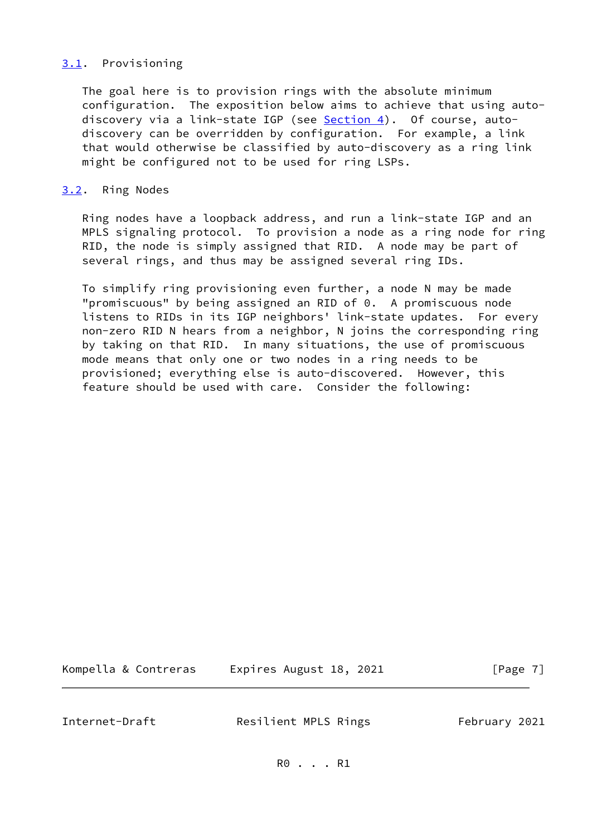# <span id="page-7-0"></span>[3.1](#page-7-0). Provisioning

 The goal here is to provision rings with the absolute minimum configuration. The exposition below aims to achieve that using auto- discovery via a link-state IGP (see [Section 4\)](#page-12-0). Of course, auto discovery can be overridden by configuration. For example, a link that would otherwise be classified by auto-discovery as a ring link might be configured not to be used for ring LSPs.

## <span id="page-7-1"></span>[3.2](#page-7-1). Ring Nodes

 Ring nodes have a loopback address, and run a link-state IGP and an MPLS signaling protocol. To provision a node as a ring node for ring RID, the node is simply assigned that RID. A node may be part of several rings, and thus may be assigned several ring IDs.

 To simplify ring provisioning even further, a node N may be made "promiscuous" by being assigned an RID of 0. A promiscuous node listens to RIDs in its IGP neighbors' link-state updates. For every non-zero RID N hears from a neighbor, N joins the corresponding ring by taking on that RID. In many situations, the use of promiscuous mode means that only one or two nodes in a ring needs to be provisioned; everything else is auto-discovered. However, this feature should be used with care. Consider the following:

| Kompella & Contreras | Expires August 18, 2021 | [Page 7] |
|----------------------|-------------------------|----------|
|----------------------|-------------------------|----------|

<span id="page-7-2"></span>Internet-Draft **Resilient MPLS Rings** February 2021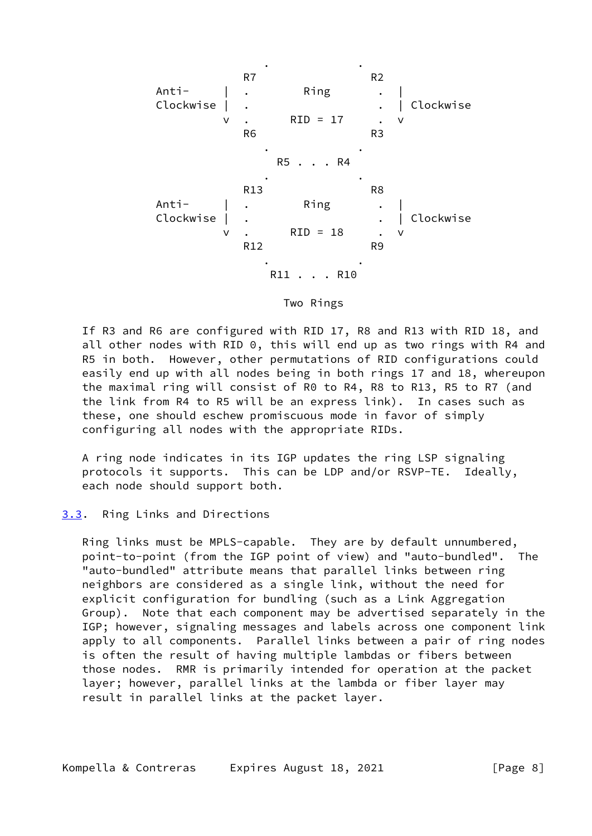

Two Rings

 If R3 and R6 are configured with RID 17, R8 and R13 with RID 18, and all other nodes with RID 0, this will end up as two rings with R4 and R5 in both. However, other permutations of RID configurations could easily end up with all nodes being in both rings 17 and 18, whereupon the maximal ring will consist of R0 to R4, R8 to R13, R5 to R7 (and the link from R4 to R5 will be an express link). In cases such as these, one should eschew promiscuous mode in favor of simply configuring all nodes with the appropriate RIDs.

 A ring node indicates in its IGP updates the ring LSP signaling protocols it supports. This can be LDP and/or RSVP-TE. Ideally, each node should support both.

## <span id="page-8-0"></span>[3.3](#page-8-0). Ring Links and Directions

 Ring links must be MPLS-capable. They are by default unnumbered, point-to-point (from the IGP point of view) and "auto-bundled". The "auto-bundled" attribute means that parallel links between ring neighbors are considered as a single link, without the need for explicit configuration for bundling (such as a Link Aggregation Group). Note that each component may be advertised separately in the IGP; however, signaling messages and labels across one component link apply to all components. Parallel links between a pair of ring nodes is often the result of having multiple lambdas or fibers between those nodes. RMR is primarily intended for operation at the packet layer; however, parallel links at the lambda or fiber layer may result in parallel links at the packet layer.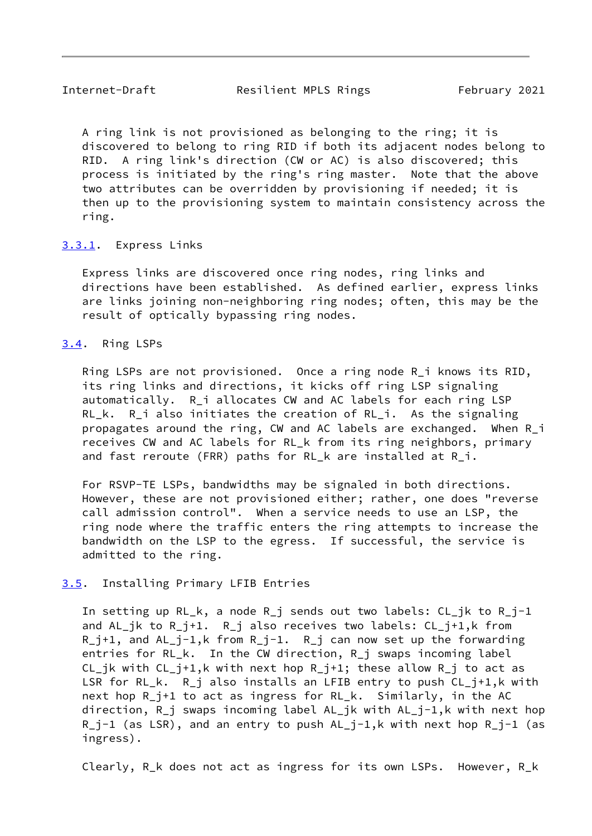<span id="page-9-1"></span>Internet-Draft Resilient MPLS Rings February 2021

 A ring link is not provisioned as belonging to the ring; it is discovered to belong to ring RID if both its adjacent nodes belong to RID. A ring link's direction (CW or AC) is also discovered; this process is initiated by the ring's ring master. Note that the above two attributes can be overridden by provisioning if needed; it is then up to the provisioning system to maintain consistency across the ring.

## <span id="page-9-0"></span>[3.3.1](#page-9-0). Express Links

 Express links are discovered once ring nodes, ring links and directions have been established. As defined earlier, express links are links joining non-neighboring ring nodes; often, this may be the result of optically bypassing ring nodes.

## <span id="page-9-2"></span>[3.4](#page-9-2). Ring LSPs

 Ring LSPs are not provisioned. Once a ring node R\_i knows its RID, its ring links and directions, it kicks off ring LSP signaling automatically. R\_i allocates CW and AC labels for each ring LSP RL k. R i also initiates the creation of RL i. As the signaling propagates around the ring, CW and AC labels are exchanged. When R\_i receives CW and AC labels for RL\_k from its ring neighbors, primary and fast reroute (FRR) paths for RL k are installed at R i.

 For RSVP-TE LSPs, bandwidths may be signaled in both directions. However, these are not provisioned either; rather, one does "reverse call admission control". When a service needs to use an LSP, the ring node where the traffic enters the ring attempts to increase the bandwidth on the LSP to the egress. If successful, the service is admitted to the ring.

## <span id="page-9-3"></span>[3.5](#page-9-3). Installing Primary LFIB Entries

 In setting up RL\_k, a node R\_j sends out two labels: CL\_jk to R\_j-1 and AL\_jk to R\_j+1. R\_j also receives two labels: CL\_j+1,k from R\_j+1, and AL\_j-1,k from R\_j-1. R\_j can now set up the forwarding entries for RL\_k. In the CW direction, R\_j swaps incoming label CL\_jk with  $CL_i+1,k$  with next hop  $R_i+1$ ; these allow  $R_i$  to act as LSR for RL\_k. R\_j also installs an LFIB entry to push CL\_j+1,k with next hop R\_j+1 to act as ingress for RL\_k. Similarly, in the AC direction, R\_j swaps incoming label AL\_jk with AL\_j-1,k with next hop  $R_j-1$  (as LSR), and an entry to push  $AL_j-1,k$  with next hop  $R_j-1$  (as ingress).

Clearly, R\_k does not act as ingress for its own LSPs. However, R\_k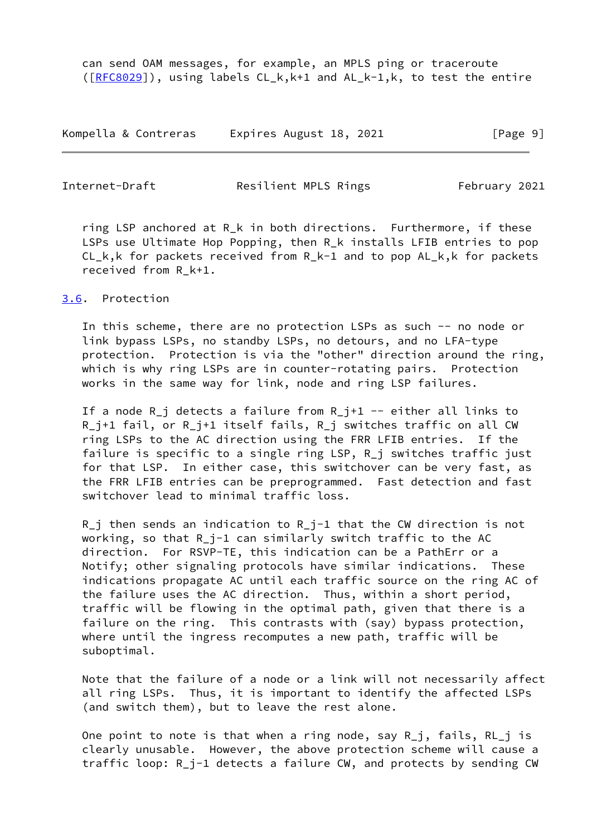can send OAM messages, for example, an MPLS ping or traceroute ([\[RFC8029](https://datatracker.ietf.org/doc/pdf/rfc8029)]), using labels CL\_k,k+1 and AL\_k-1,k, to test the entire

Kompella & Contreras Expires August 18, 2021 [Page 9]

<span id="page-10-1"></span>Internet-Draft Resilient MPLS Rings February 2021

 ring LSP anchored at R\_k in both directions. Furthermore, if these LSPs use Ultimate Hop Popping, then R\_k installs LFIB entries to pop CL\_k,k for packets received from R\_k-1 and to pop AL\_k,k for packets received from R\_k+1.

# <span id="page-10-0"></span>[3.6](#page-10-0). Protection

 In this scheme, there are no protection LSPs as such -- no node or link bypass LSPs, no standby LSPs, no detours, and no LFA-type protection. Protection is via the "other" direction around the ring, which is why ring LSPs are in counter-rotating pairs. Protection works in the same way for link, node and ring LSP failures.

 If a node R\_j detects a failure from R\_j+1 -- either all links to R j+1 fail, or R j+1 itself fails, R j switches traffic on all CW ring LSPs to the AC direction using the FRR LFIB entries. If the failure is specific to a single ring LSP, R\_j switches traffic just for that LSP. In either case, this switchover can be very fast, as the FRR LFIB entries can be preprogrammed. Fast detection and fast switchover lead to minimal traffic loss.

 $R_i$  then sends an indication to  $R_i$ <sup>-1</sup> that the CW direction is not working, so that R\_j-1 can similarly switch traffic to the AC direction. For RSVP-TE, this indication can be a PathErr or a Notify; other signaling protocols have similar indications. These indications propagate AC until each traffic source on the ring AC of the failure uses the AC direction. Thus, within a short period, traffic will be flowing in the optimal path, given that there is a failure on the ring. This contrasts with (say) bypass protection, where until the ingress recomputes a new path, traffic will be suboptimal.

 Note that the failure of a node or a link will not necessarily affect all ring LSPs. Thus, it is important to identify the affected LSPs (and switch them), but to leave the rest alone.

 One point to note is that when a ring node, say R\_j, fails, RL\_j is clearly unusable. However, the above protection scheme will cause a traffic loop: R\_j-1 detects a failure CW, and protects by sending CW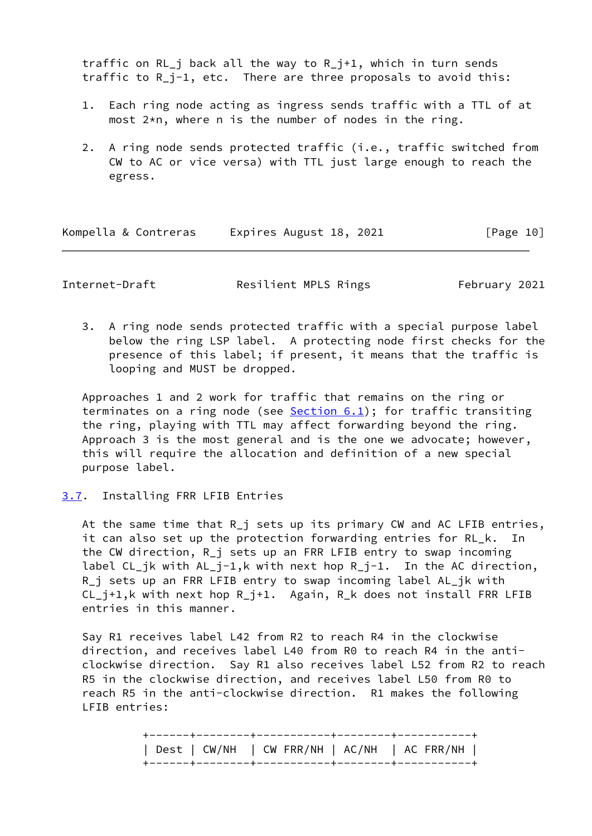traffic on RL  $j$  back all the way to R  $j+1$ , which in turn sends traffic to R\_j-1, etc. There are three proposals to avoid this:

- 1. Each ring node acting as ingress sends traffic with a TTL of at most 2\*n, where n is the number of nodes in the ring.
- 2. A ring node sends protected traffic (i.e., traffic switched from CW to AC or vice versa) with TTL just large enough to reach the egress.

| Kompella & Contreras | Expires August 18, 2021 | [Page 10] |
|----------------------|-------------------------|-----------|
|----------------------|-------------------------|-----------|

<span id="page-11-1"></span>Internet-Draft **Resilient MPLS Rings** February 2021

 3. A ring node sends protected traffic with a special purpose label below the ring LSP label. A protecting node first checks for the presence of this label; if present, it means that the traffic is looping and MUST be dropped.

 Approaches 1 and 2 work for traffic that remains on the ring or terminates on a ring node (see  $Section 6.1$ ); for traffic transiting the ring, playing with TTL may affect forwarding beyond the ring. Approach 3 is the most general and is the one we advocate; however, this will require the allocation and definition of a new special purpose label.

## <span id="page-11-0"></span>[3.7](#page-11-0). Installing FRR LFIB Entries

 At the same time that R\_j sets up its primary CW and AC LFIB entries, it can also set up the protection forwarding entries for RL\_k. In the CW direction, R\_j sets up an FRR LFIB entry to swap incoming label CL\_jk with AL\_j-1,k with next hop R\_j-1. In the AC direction, R\_j sets up an FRR LFIB entry to swap incoming label AL\_jk with CL\_j+1,k with next hop R\_j+1. Again, R\_k does not install FRR LFIB entries in this manner.

 Say R1 receives label L42 from R2 to reach R4 in the clockwise direction, and receives label L40 from R0 to reach R4 in the anti clockwise direction. Say R1 also receives label L52 from R2 to reach R5 in the clockwise direction, and receives label L50 from R0 to reach R5 in the anti-clockwise direction. R1 makes the following LFIB entries:

| Dest   CW/NH   CW FRR/NH   AC/NH   AC FRR/NH |  |
|----------------------------------------------|--|
|                                              |  |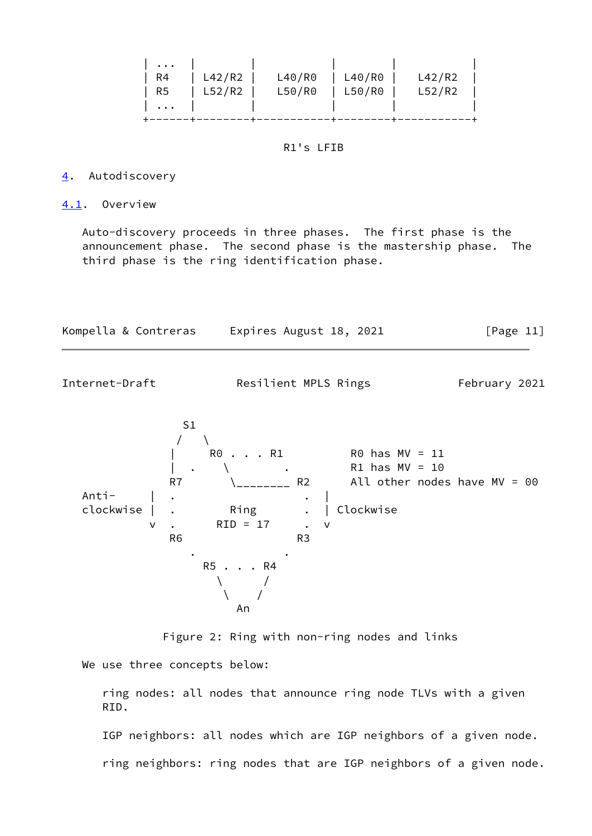|  |             |  | R4   L42/R2   L40/R0   L40/R0   L42/R2 |
|--|-------------|--|----------------------------------------|
|  | R5   L52/R2 |  | L50/R0   L50/R0   L52/R2               |
|  |             |  |                                        |
|  |             |  |                                        |

### R1's LFIB

#### <span id="page-12-0"></span>[4](#page-12-0). Autodiscovery

### <span id="page-12-1"></span>[4.1](#page-12-1). Overview

 Auto-discovery proceeds in three phases. The first phase is the announcement phase. The second phase is the mastership phase. The third phase is the ring identification phase.

| Kompella & Contreras | Expires August 18, 2021 | [Page 11] |
|----------------------|-------------------------|-----------|
|----------------------|-------------------------|-----------|

Internet-Draft Resilient MPLS Rings February 2021



Figure 2: Ring with non-ring nodes and links

We use three concepts below:

 ring nodes: all nodes that announce ring node TLVs with a given RID.

IGP neighbors: all nodes which are IGP neighbors of a given node.

ring neighbors: ring nodes that are IGP neighbors of a given node.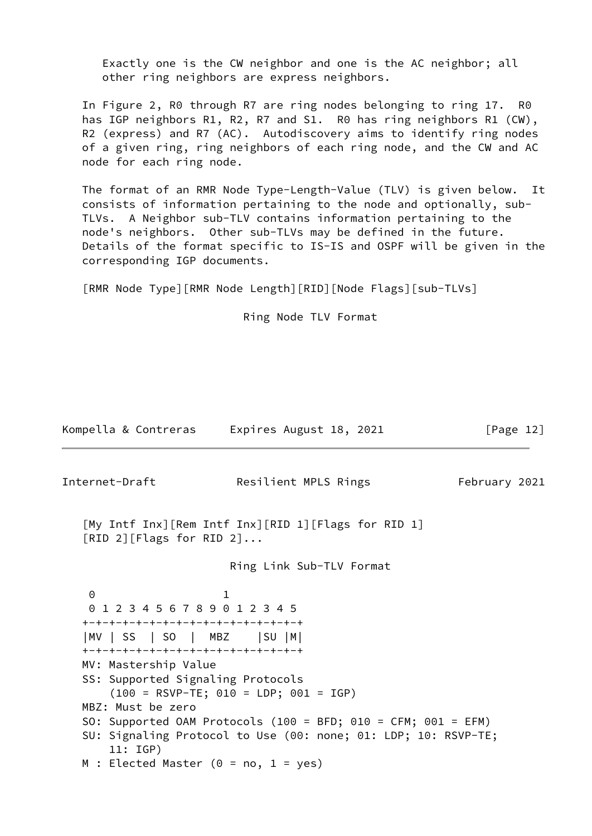Exactly one is the CW neighbor and one is the AC neighbor; all other ring neighbors are express neighbors.

 In Figure 2, R0 through R7 are ring nodes belonging to ring 17. R0 has IGP neighbors R1, R2, R7 and S1. R0 has ring neighbors R1 (CW), R2 (express) and R7 (AC). Autodiscovery aims to identify ring nodes of a given ring, ring neighbors of each ring node, and the CW and AC node for each ring node.

 The format of an RMR Node Type-Length-Value (TLV) is given below. It consists of information pertaining to the node and optionally, sub- TLVs. A Neighbor sub-TLV contains information pertaining to the node's neighbors. Other sub-TLVs may be defined in the future. Details of the format specific to IS-IS and OSPF will be given in the corresponding IGP documents.

[RMR Node Type][RMR Node Length][RID][Node Flags][sub-TLVs]

Ring Node TLV Format

Kompella & Contreras Expires August 18, 2021 [Page 12]

<span id="page-13-0"></span>

| Internet-Draft                                                                                                                            | Resilient MPLS Rings                                                                                                            | February 2021 |
|-------------------------------------------------------------------------------------------------------------------------------------------|---------------------------------------------------------------------------------------------------------------------------------|---------------|
| [RID 2][Flags for RID 2]                                                                                                                  | [My Intf Inx][Rem Intf Inx][RID 1][Flags for RID 1]                                                                             |               |
|                                                                                                                                           | Ring Link Sub-TLV Format                                                                                                        |               |
| $\Theta$<br>0123456789012345<br>+-+-+-+-+-+-+-+-+-+-+-+-+-+-+-+-+<br> MV   SS   SO   MBZ     SU   M <br>+-+-+-+-+-+-+-+-+-+-+-+-+-+-+-+-+ |                                                                                                                                 |               |
| MV: Mastership Value<br>SS: Supported Signaling Protocols                                                                                 | $(100 = RSVP-TE; 010 = LDP; 001 = IGP)$                                                                                         |               |
| MBZ: Must be zero<br>11:IGP)                                                                                                              | SO: Supported OAM Protocols (100 = BFD; 010 = CFM; 001 = EFM)<br>SU: Signaling Protocol to Use (00: none; 01: LDP; 10: RSVP-TE; |               |
| M : Elected Master ( $0 = no$ , 1 = yes)                                                                                                  |                                                                                                                                 |               |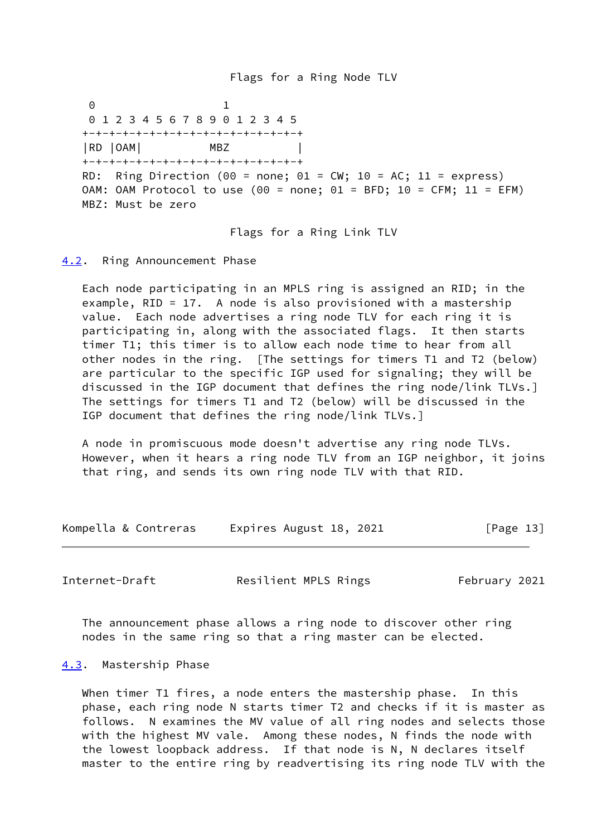Flags for a Ring Node TLV

 0 1 0 1 2 3 4 5 6 7 8 9 0 1 2 3 4 5 +-+-+-+-+-+-+-+-+-+-+-+-+-+-+-+-+ |RD |OAM| MBZ | +-+-+-+-+-+-+-+-+-+-+-+-+-+-+-+-+ RD: Ring Direction (00 = none; 01 = CW; 10 = AC; 11 = express) OAM: OAM Protocol to use (00 = none; 01 = BFD; 10 = CFM; 11 = EFM) MBZ: Must be zero

Flags for a Ring Link TLV

<span id="page-14-0"></span>[4.2](#page-14-0). Ring Announcement Phase

 Each node participating in an MPLS ring is assigned an RID; in the example, RID = 17. A node is also provisioned with a mastership value. Each node advertises a ring node TLV for each ring it is participating in, along with the associated flags. It then starts timer T1; this timer is to allow each node time to hear from all other nodes in the ring. [The settings for timers T1 and T2 (below) are particular to the specific IGP used for signaling; they will be discussed in the IGP document that defines the ring node/link TLVs.] The settings for timers T1 and T2 (below) will be discussed in the IGP document that defines the ring node/link TLVs.]

 A node in promiscuous mode doesn't advertise any ring node TLVs. However, when it hears a ring node TLV from an IGP neighbor, it joins that ring, and sends its own ring node TLV with that RID.

Kompella & Contreras Expires August 18, 2021 [Page 13]

<span id="page-14-2"></span>Internet-Draft **Resilient MPLS Rings** February 2021

 The announcement phase allows a ring node to discover other ring nodes in the same ring so that a ring master can be elected.

#### <span id="page-14-1"></span>[4.3](#page-14-1). Mastership Phase

 When timer T1 fires, a node enters the mastership phase. In this phase, each ring node N starts timer T2 and checks if it is master as follows. N examines the MV value of all ring nodes and selects those with the highest MV vale. Among these nodes, N finds the node with the lowest loopback address. If that node is N, N declares itself master to the entire ring by readvertising its ring node TLV with the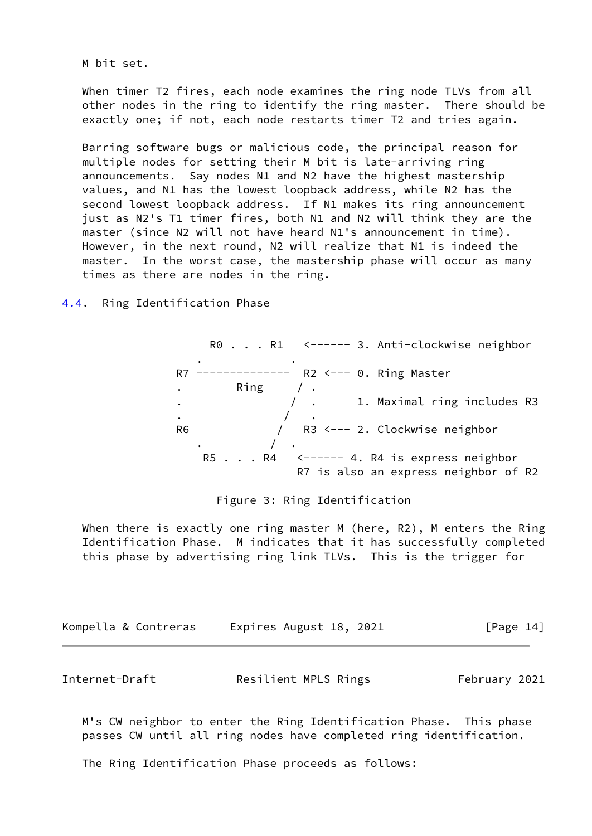M bit set.

 When timer T2 fires, each node examines the ring node TLVs from all other nodes in the ring to identify the ring master. There should be exactly one; if not, each node restarts timer T2 and tries again.

 Barring software bugs or malicious code, the principal reason for multiple nodes for setting their M bit is late-arriving ring announcements. Say nodes N1 and N2 have the highest mastership values, and N1 has the lowest loopback address, while N2 has the second lowest loopback address. If N1 makes its ring announcement just as N2's T1 timer fires, both N1 and N2 will think they are the master (since N2 will not have heard N1's announcement in time). However, in the next round, N2 will realize that N1 is indeed the master. In the worst case, the mastership phase will occur as many times as there are nodes in the ring.

<span id="page-15-0"></span>[4.4](#page-15-0). Ring Identification Phase

R0 . . . R1 <------ 3. Anti-clockwise neighbor . . R7 -------------- R2 <--- 0. Ring Master Ring  $/$  . .  $\sqrt{ }$  . 1. Maximal ring includes R3 . The state  $\sim$   $\sim$   $\sim$   $\sim$   $\sim$  R6 / R3 <--- 2. Clockwise neighbor . / . R5 . . . R4 <------ 4. R4 is express neighbor R7 is also an express neighbor of R2

# Figure 3: Ring Identification

When there is exactly one ring master M (here, R2), M enters the Ring Identification Phase. M indicates that it has successfully completed this phase by advertising ring link TLVs. This is the trigger for

| Kompella & Contreras | Expires August 18, 2021 | [Page 14] |
|----------------------|-------------------------|-----------|
|                      |                         |           |

<span id="page-15-1"></span>Internet-Draft **Resilient MPLS Rings** February 2021

 M's CW neighbor to enter the Ring Identification Phase. This phase passes CW until all ring nodes have completed ring identification.

The Ring Identification Phase proceeds as follows: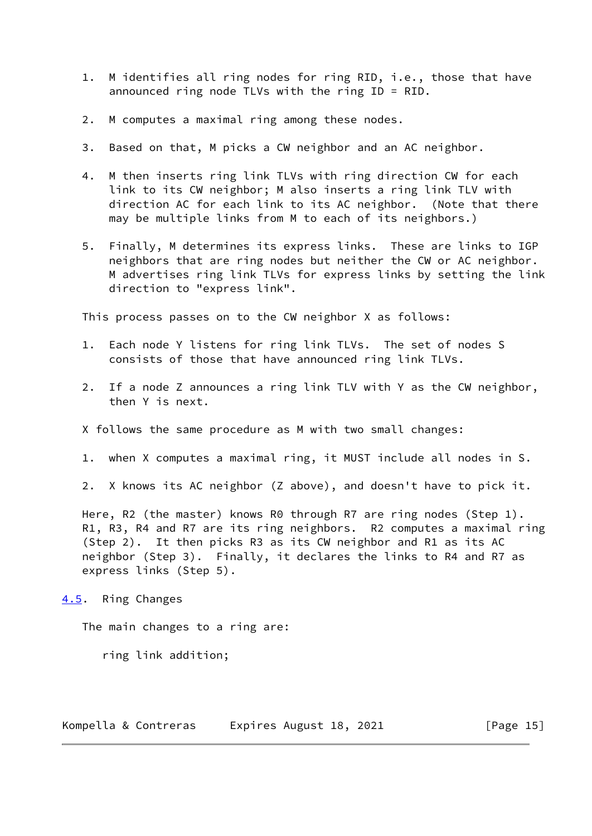- 1. M identifies all ring nodes for ring RID, i.e., those that have announced ring node TLVs with the ring ID = RID.
- 2. M computes a maximal ring among these nodes.
- 3. Based on that, M picks a CW neighbor and an AC neighbor.
- 4. M then inserts ring link TLVs with ring direction CW for each link to its CW neighbor; M also inserts a ring link TLV with direction AC for each link to its AC neighbor. (Note that there may be multiple links from M to each of its neighbors.)
- 5. Finally, M determines its express links. These are links to IGP neighbors that are ring nodes but neither the CW or AC neighbor. M advertises ring link TLVs for express links by setting the link direction to "express link".

This process passes on to the CW neighbor X as follows:

- 1. Each node Y listens for ring link TLVs. The set of nodes S consists of those that have announced ring link TLVs.
- 2. If a node Z announces a ring link TLV with Y as the CW neighbor, then Y is next.
- X follows the same procedure as M with two small changes:
- 1. when X computes a maximal ring, it MUST include all nodes in S.
- 2. X knows its AC neighbor (Z above), and doesn't have to pick it.

Here, R2 (the master) knows R0 through R7 are ring nodes (Step 1). R1, R3, R4 and R7 are its ring neighbors. R2 computes a maximal ring (Step 2). It then picks R3 as its CW neighbor and R1 as its AC neighbor (Step 3). Finally, it declares the links to R4 and R7 as express links (Step 5).

<span id="page-16-0"></span>[4.5](#page-16-0). Ring Changes

The main changes to a ring are:

ring link addition;

Kompella & Contreras Expires August 18, 2021 [Page 15]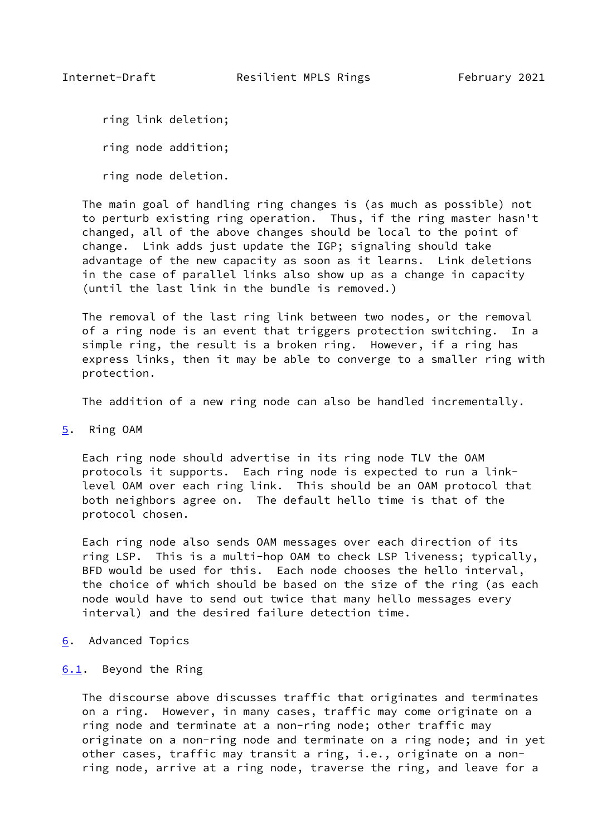<span id="page-17-1"></span>ring link deletion;

ring node addition;

ring node deletion.

 The main goal of handling ring changes is (as much as possible) not to perturb existing ring operation. Thus, if the ring master hasn't changed, all of the above changes should be local to the point of change. Link adds just update the IGP; signaling should take advantage of the new capacity as soon as it learns. Link deletions in the case of parallel links also show up as a change in capacity (until the last link in the bundle is removed.)

 The removal of the last ring link between two nodes, or the removal of a ring node is an event that triggers protection switching. In a simple ring, the result is a broken ring. However, if a ring has express links, then it may be able to converge to a smaller ring with protection.

The addition of a new ring node can also be handled incrementally.

<span id="page-17-0"></span>[5](#page-17-0). Ring OAM

 Each ring node should advertise in its ring node TLV the OAM protocols it supports. Each ring node is expected to run a link level OAM over each ring link. This should be an OAM protocol that both neighbors agree on. The default hello time is that of the protocol chosen.

 Each ring node also sends OAM messages over each direction of its ring LSP. This is a multi-hop OAM to check LSP liveness; typically, BFD would be used for this. Each node chooses the hello interval, the choice of which should be based on the size of the ring (as each node would have to send out twice that many hello messages every interval) and the desired failure detection time.

<span id="page-17-2"></span>[6](#page-17-2). Advanced Topics

## <span id="page-17-3"></span>[6.1](#page-17-3). Beyond the Ring

 The discourse above discusses traffic that originates and terminates on a ring. However, in many cases, traffic may come originate on a ring node and terminate at a non-ring node; other traffic may originate on a non-ring node and terminate on a ring node; and in yet other cases, traffic may transit a ring, i.e., originate on a non ring node, arrive at a ring node, traverse the ring, and leave for a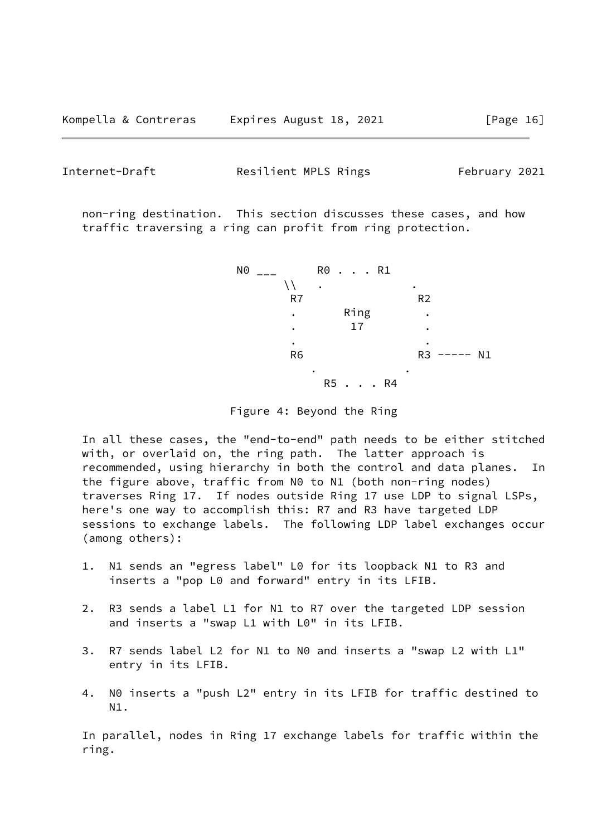Internet-Draft **Resilient MPLS Rings** February 2021

 non-ring destination. This section discusses these cases, and how traffic traversing a ring can profit from ring protection.



Figure 4: Beyond the Ring

 In all these cases, the "end-to-end" path needs to be either stitched with, or overlaid on, the ring path. The latter approach is recommended, using hierarchy in both the control and data planes. In the figure above, traffic from N0 to N1 (both non-ring nodes) traverses Ring 17. If nodes outside Ring 17 use LDP to signal LSPs, here's one way to accomplish this: R7 and R3 have targeted LDP sessions to exchange labels. The following LDP label exchanges occur (among others):

- 1. N1 sends an "egress label" L0 for its loopback N1 to R3 and inserts a "pop L0 and forward" entry in its LFIB.
- 2. R3 sends a label L1 for N1 to R7 over the targeted LDP session and inserts a "swap L1 with L0" in its LFIB.
- 3. R7 sends label L2 for N1 to N0 and inserts a "swap L2 with L1" entry in its LFIB.
- 4. N0 inserts a "push L2" entry in its LFIB for traffic destined to N1.

 In parallel, nodes in Ring 17 exchange labels for traffic within the ring.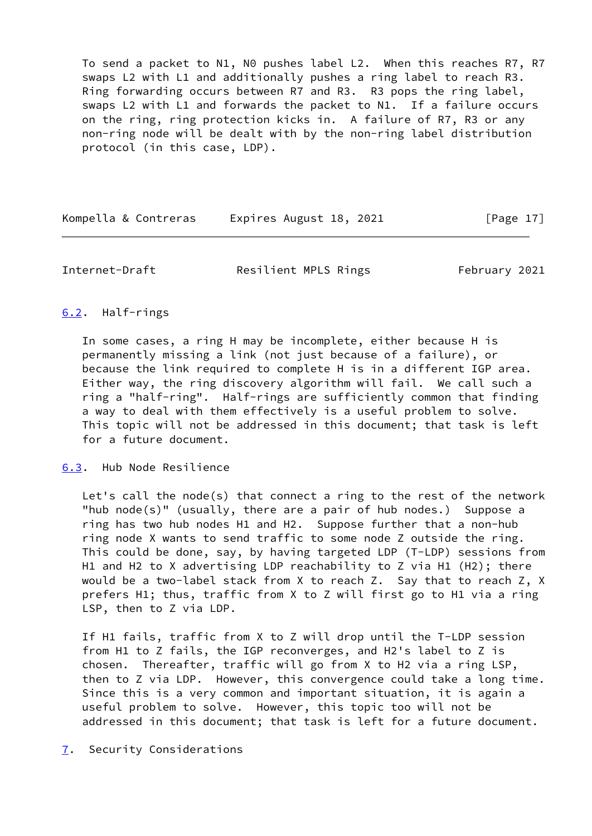To send a packet to N1, N0 pushes label L2. When this reaches R7, R7 swaps L2 with L1 and additionally pushes a ring label to reach R3. Ring forwarding occurs between R7 and R3. R3 pops the ring label, swaps L2 with L1 and forwards the packet to N1. If a failure occurs on the ring, ring protection kicks in. A failure of R7, R3 or any non-ring node will be dealt with by the non-ring label distribution protocol (in this case, LDP).

Kompella & Contreras Expires August 18, 2021 [Page 17]

<span id="page-19-1"></span>Internet-Draft **Resilient MPLS Rings** February 2021

## <span id="page-19-0"></span>[6.2](#page-19-0). Half-rings

 In some cases, a ring H may be incomplete, either because H is permanently missing a link (not just because of a failure), or because the link required to complete H is in a different IGP area. Either way, the ring discovery algorithm will fail. We call such a ring a "half-ring". Half-rings are sufficiently common that finding a way to deal with them effectively is a useful problem to solve. This topic will not be addressed in this document; that task is left for a future document.

### <span id="page-19-2"></span>[6.3](#page-19-2). Hub Node Resilience

 Let's call the node(s) that connect a ring to the rest of the network "hub node(s)" (usually, there are a pair of hub nodes.) Suppose a ring has two hub nodes H1 and H2. Suppose further that a non-hub ring node X wants to send traffic to some node Z outside the ring. This could be done, say, by having targeted LDP (T-LDP) sessions from H1 and H2 to X advertising LDP reachability to Z via H1 (H2); there would be a two-label stack from X to reach Z. Say that to reach Z, X prefers H1; thus, traffic from X to Z will first go to H1 via a ring LSP, then to Z via LDP.

 If H1 fails, traffic from X to Z will drop until the T-LDP session from H1 to Z fails, the IGP reconverges, and H2's label to Z is chosen. Thereafter, traffic will go from X to H2 via a ring LSP, then to Z via LDP. However, this convergence could take a long time. Since this is a very common and important situation, it is again a useful problem to solve. However, this topic too will not be addressed in this document; that task is left for a future document.

<span id="page-19-3"></span>[7](#page-19-3). Security Considerations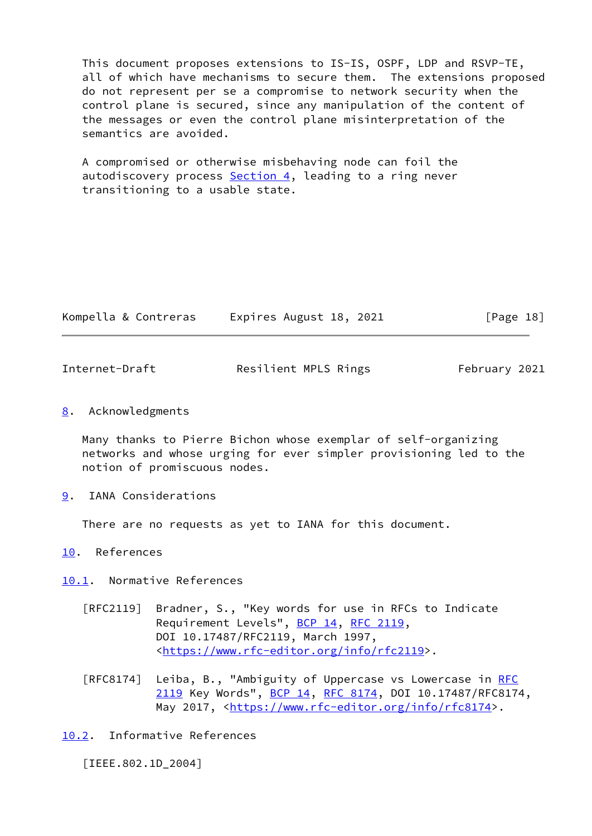This document proposes extensions to IS-IS, OSPF, LDP and RSVP-TE, all of which have mechanisms to secure them. The extensions proposed do not represent per se a compromise to network security when the control plane is secured, since any manipulation of the content of the messages or even the control plane misinterpretation of the semantics are avoided.

 A compromised or otherwise misbehaving node can foil the autodiscovery process  $Section 4$ , leading to a ring never transitioning to a usable state.

| Kompella & Contreras |  | Expires August 18, 2021 |  |  | [Page 18] |  |
|----------------------|--|-------------------------|--|--|-----------|--|
|----------------------|--|-------------------------|--|--|-----------|--|

<span id="page-20-1"></span>Internet-Draft **Resilient MPLS Rings** February 2021

<span id="page-20-0"></span>[8](#page-20-0). Acknowledgments

 Many thanks to Pierre Bichon whose exemplar of self-organizing networks and whose urging for ever simpler provisioning led to the notion of promiscuous nodes.

<span id="page-20-2"></span>[9](#page-20-2). IANA Considerations

There are no requests as yet to IANA for this document.

<span id="page-20-3"></span>[10.](#page-20-3) References

<span id="page-20-4"></span>[10.1](#page-20-4). Normative References

- [RFC2119] Bradner, S., "Key words for use in RFCs to Indicate Requirement Levels", [BCP 14](https://datatracker.ietf.org/doc/pdf/bcp14), [RFC 2119](https://datatracker.ietf.org/doc/pdf/rfc2119), DOI 10.17487/RFC2119, March 1997, <[https://www.rfc-editor.org/info/rfc2119>](https://www.rfc-editor.org/info/rfc2119).
- [RFC8174] Leiba, B., "Ambiguity of Uppercase vs Lowercase in [RFC](https://datatracker.ietf.org/doc/pdf/rfc2119) [2119](https://datatracker.ietf.org/doc/pdf/rfc2119) Key Words", [BCP 14](https://datatracker.ietf.org/doc/pdf/bcp14), [RFC 8174,](https://datatracker.ietf.org/doc/pdf/rfc8174) DOI 10.17487/RFC8174, May 2017, [<https://www.rfc-editor.org/info/rfc8174](https://www.rfc-editor.org/info/rfc8174)>.

<span id="page-20-5"></span>[10.2](#page-20-5). Informative References

<span id="page-20-6"></span>[IEEE.802.1D\_2004]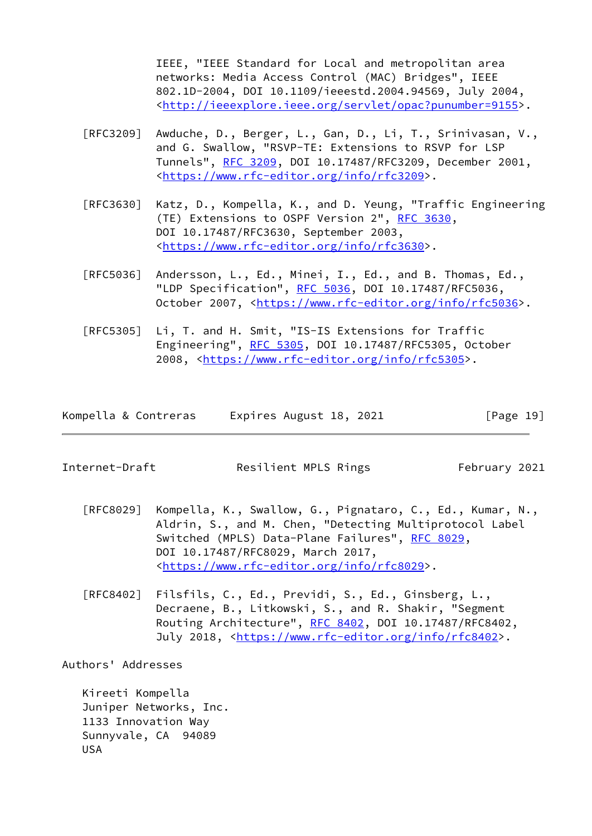IEEE, "IEEE Standard for Local and metropolitan area networks: Media Access Control (MAC) Bridges", IEEE 802.1D-2004, DOI 10.1109/ieeestd.2004.94569, July 2004, <[http://ieeexplore.ieee.org/servlet/opac?punumber=9155>](http://ieeexplore.ieee.org/servlet/opac?punumber=9155).

- [RFC3209] Awduche, D., Berger, L., Gan, D., Li, T., Srinivasan, V., and G. Swallow, "RSVP-TE: Extensions to RSVP for LSP Tunnels", [RFC 3209](https://datatracker.ietf.org/doc/pdf/rfc3209), DOI 10.17487/RFC3209, December 2001, <[https://www.rfc-editor.org/info/rfc3209>](https://www.rfc-editor.org/info/rfc3209).
- [RFC3630] Katz, D., Kompella, K., and D. Yeung, "Traffic Engineering (TE) Extensions to OSPF Version 2", [RFC 3630,](https://datatracker.ietf.org/doc/pdf/rfc3630) DOI 10.17487/RFC3630, September 2003, <[https://www.rfc-editor.org/info/rfc3630>](https://www.rfc-editor.org/info/rfc3630).
- [RFC5036] Andersson, L., Ed., Minei, I., Ed., and B. Thomas, Ed., "LDP Specification", [RFC 5036](https://datatracker.ietf.org/doc/pdf/rfc5036), DOI 10.17487/RFC5036, October 2007, [<https://www.rfc-editor.org/info/rfc5036](https://www.rfc-editor.org/info/rfc5036)>.
- [RFC5305] Li, T. and H. Smit, "IS-IS Extensions for Traffic Engineering", [RFC 5305](https://datatracker.ietf.org/doc/pdf/rfc5305), DOI 10.17487/RFC5305, October 2008, [<https://www.rfc-editor.org/info/rfc5305](https://www.rfc-editor.org/info/rfc5305)>.

|  | Kompella & Contreras | Expires August 18, 2021 | [Page 19] |
|--|----------------------|-------------------------|-----------|
|--|----------------------|-------------------------|-----------|

<span id="page-21-0"></span>Internet-Draft **Resilient MPLS Rings** February 2021

- [RFC8029] Kompella, K., Swallow, G., Pignataro, C., Ed., Kumar, N., Aldrin, S., and M. Chen, "Detecting Multiprotocol Label Switched (MPLS) Data-Plane Failures", [RFC 8029](https://datatracker.ietf.org/doc/pdf/rfc8029), DOI 10.17487/RFC8029, March 2017, <[https://www.rfc-editor.org/info/rfc8029>](https://www.rfc-editor.org/info/rfc8029).
- [RFC8402] Filsfils, C., Ed., Previdi, S., Ed., Ginsberg, L., Decraene, B., Litkowski, S., and R. Shakir, "Segment Routing Architecture", [RFC 8402](https://datatracker.ietf.org/doc/pdf/rfc8402), DOI 10.17487/RFC8402, July 2018, <<https://www.rfc-editor.org/info/rfc8402>>.

Authors' Addresses

 Kireeti Kompella Juniper Networks, Inc. 1133 Innovation Way Sunnyvale, CA 94089 USA